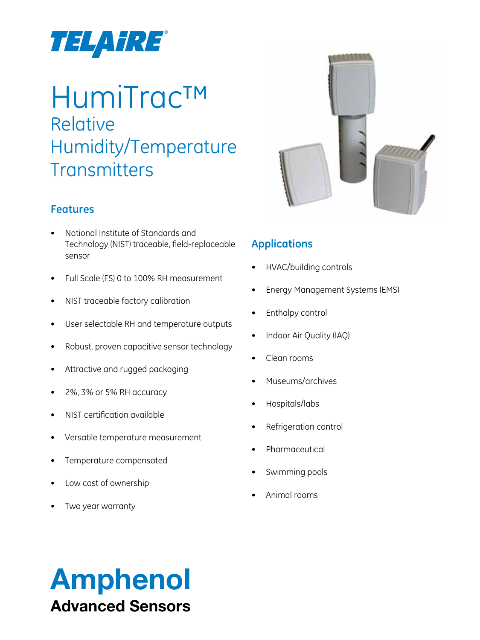

# HumiTrac™ Relative Humidity/Temperature **Transmitters**

## **Features**

- National Institute of Standards and Technology (NIST) traceable, field-replaceable sensor
- Full Scale (FS) 0 to 100% RH measurement
- NIST traceable factory calibration
- User selectable RH and temperature outputs
- Robust, proven capacitive sensor technology
- Attractive and rugged packaging
- 2%, 3% or 5% RH accuracy
- NIST certification available
- Versatile temperature measurement
- Temperature compensated
- Low cost of ownership
- Two year warranty



## **Applications**

- **HVAC/building controls**
- **Energy Management Systems (EMS)**
- Enthalpy control
- Indoor Air Quality (IAQ)
- Clean rooms
- Museums/archives
- Hospitals/labs
- Refrigeration control
- **Pharmaceutical**
- Swimming pools
- Animal rooms

# Amphenol Advanced Sensors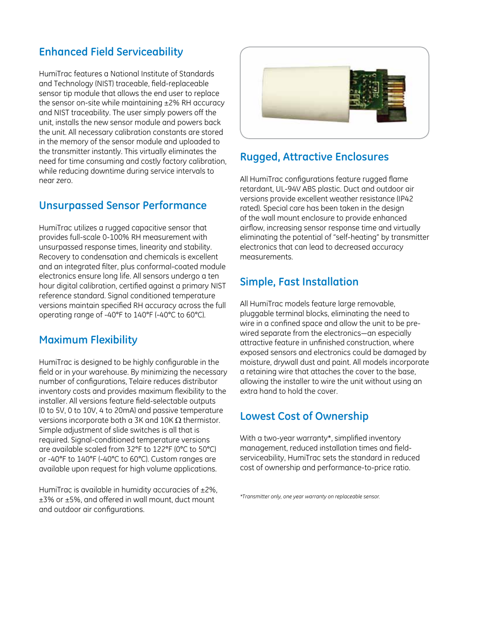## **Enhanced Field Serviceability**

HumiTrac features a National Institute of Standards and Technology (NIST) traceable, field-replaceable sensor tip module that allows the end user to replace the sensor on-site while maintaining ±2% RH accuracy and NIST traceability. The user simply powers off the unit, installs the new sensor module and powers back the unit. All necessary calibration constants are stored in the memory of the sensor module and uploaded to the transmitter instantly. This virtually eliminates the need for time consuming and costly factory calibration, while reducing downtime during service intervals to near zero.

## **Unsurpassed Sensor Performance**

HumiTrac utilizes a rugged capacitive sensor that provides full-scale 0-100% RH measurement with unsurpassed response times, linearity and stability. Recovery to condensation and chemicals is excellent and an integrated filter, plus conformal-coated module electronics ensure long life. All sensors undergo a ten hour digital calibration, certified against a primary NIST reference standard. Signal conditioned temperature versions maintain specified RH accuracy across the full operating range of -40°F to 140°F (-40°C to 60°C).

## **Maximum Flexibility**

HumiTrac is designed to be highly configurable in the field or in your warehouse. By minimizing the necessary number of configurations, Telaire reduces distributor inventory costs and provides maximum flexibility to the installer. All versions feature field-selectable outputs (0 to 5V, 0 to 10V, 4 to 20mA) and passive temperature versions incorporate both a 3K and 10K  $\Omega$  thermistor. Simple adjustment of slide switches is all that is required. Signal-conditioned temperature versions are available scaled from 32°F to 122°F (0°C to 50°C) or -40°F to 140°F (-40°C to 60°C). Custom ranges are available upon request for high volume applications.

HumiTrac is available in humidity accuracies of  $\pm 2\%$ , ±3% or ±5%, and offered in wall mount, duct mount and outdoor air configurations.



## **Rugged, Attractive Enclosures**

All HumiTrac configurations feature rugged flame retardant, UL-94V ABS plastic. Duct and outdoor air versions provide excellent weather resistance (IP42 rated). Special care has been taken in the design of the wall mount enclosure to provide enhanced airflow, increasing sensor response time and virtually eliminating the potential of "self-heating" by transmitter electronics that can lead to decreased accuracy measurements.

## **Simple, Fast Installation**

All HumiTrac models feature large removable, pluggable terminal blocks, eliminating the need to wire in a confined space and allow the unit to be prewired separate from the electronics—an especially attractive feature in unfinished construction, where exposed sensors and electronics could be damaged by moisture, drywall dust and paint. All models incorporate a retaining wire that attaches the cover to the base, allowing the installer to wire the unit without using an extra hand to hold the cover.

## **Lowest Cost of Ownership**

With a two-year warranty\*, simplified inventory management, reduced installation times and fieldserviceability, HumiTrac sets the standard in reduced cost of ownership and performance-to-price ratio.

*\*Transmitter only, one year warranty on replaceable sensor.*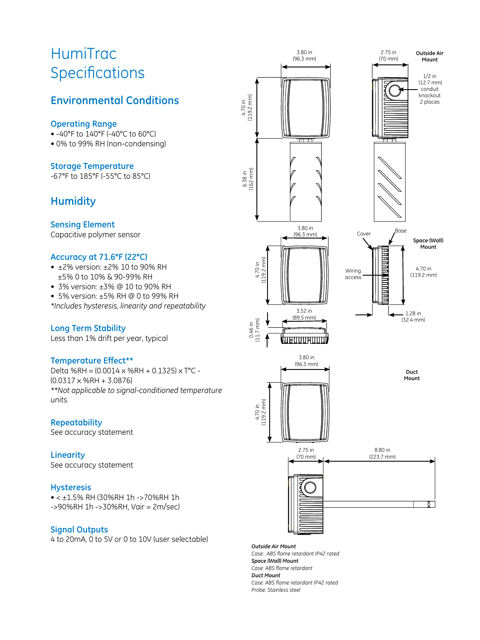## HumiTrac **Specifications**

## **Environmental Conditions**

#### **Operating Range**

- -40°F to 140°F (-40°C to 60°C)
- 0% to 99% RH (non-condensing)

#### **Storage Temperature**

-67°F to 185°F (-55°C to 85°C)

## **Humidity**

#### **Sensing Element**

Capacitive polymer sensor

#### **Accuracy at 71.6°F (22°C)**

- ±2% version: ±2% 10 to 90% RH ±5% 0 to 10% & 90-99% RH
- 3% version: ±3% @ 10 to 90% RH
- 5% version: ±5% RH @ 0 to 99% RH

*\*Includes hysteresis, linearity and repeatability*

#### **Long Term Stability**

Less than 1% drift per year, typical

#### **Temperature Effect\*\***

Delta %RH = (0.0014 x %RH + 0.1325) x T°C - (0.0317 x %RH + 3.0876) *\*\*Not applicable to signal-conditioned temperature units.*

## **Repeatability**

See accuracy statement

#### **Linearity**

See accuracy statement

#### **Hysteresis**

• < ±1.5% RH (30%RH 1h ->70%RH 1h ->90%RH 1h ->30%RH, Vair = 2m/sec)

#### **Signal Outputs**

4 to 20mA, 0 to 5V or 0 to 10V (user selectable)



*Outside Air Mount Case: ABS flame retardant IP42 rated Space (Wall) Mount Case: ABS flame retardant Duct Mount Case: ABS flame retardant IP42 rated Probe: Stainless steel*